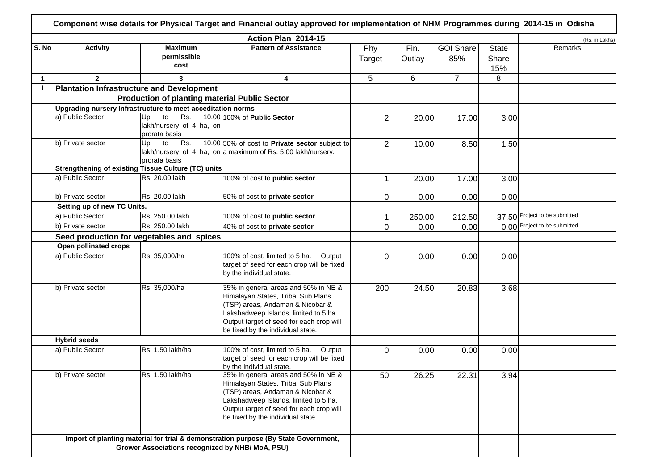| S. No<br>$\mathbf 1$ | <b>Activity</b><br>$\mathbf{2}$<br>a) Public Sector<br>b) Private sector | <b>Maximum</b><br>permissible<br>cost<br>3<br><b>Plantation Infrastructure and Development</b><br><b>Production of planting material Public Sector</b><br>Upgrading nursery Infrastructure to meet acceditation norms<br>Rs.<br>Up<br>to<br>lakh/nursery of 4 ha, on<br>prorata basis<br>Up<br>to Rs. | <b>Pattern of Assistance</b><br>4<br>10.00 100% of Public Sector                                                                                                                                                                         | Phy<br>Target<br>5<br>2 | Fin.<br>Outlay<br>6 | <b>GOI Share</b><br>85%<br>$\overline{7}$ | <b>State</b><br>Share<br>15%<br>8 | Remarks                       |
|----------------------|--------------------------------------------------------------------------|-------------------------------------------------------------------------------------------------------------------------------------------------------------------------------------------------------------------------------------------------------------------------------------------------------|------------------------------------------------------------------------------------------------------------------------------------------------------------------------------------------------------------------------------------------|-------------------------|---------------------|-------------------------------------------|-----------------------------------|-------------------------------|
|                      |                                                                          |                                                                                                                                                                                                                                                                                                       |                                                                                                                                                                                                                                          |                         |                     |                                           |                                   |                               |
|                      |                                                                          |                                                                                                                                                                                                                                                                                                       |                                                                                                                                                                                                                                          |                         |                     |                                           |                                   |                               |
|                      |                                                                          |                                                                                                                                                                                                                                                                                                       |                                                                                                                                                                                                                                          |                         |                     |                                           |                                   |                               |
|                      |                                                                          |                                                                                                                                                                                                                                                                                                       |                                                                                                                                                                                                                                          |                         |                     |                                           |                                   |                               |
|                      |                                                                          |                                                                                                                                                                                                                                                                                                       |                                                                                                                                                                                                                                          |                         |                     |                                           |                                   |                               |
|                      |                                                                          |                                                                                                                                                                                                                                                                                                       |                                                                                                                                                                                                                                          |                         | 20.00               | 17.00                                     | 3.00                              |                               |
|                      |                                                                          | prorata basis                                                                                                                                                                                                                                                                                         | 10.00 50% of cost to Private sector subject to<br>lakh/nursery of 4 ha, on a maximum of Rs. 5.00 lakh/nursery.                                                                                                                           | $\overline{2}$          | 10.00               | 8.50                                      | 1.50                              |                               |
|                      |                                                                          | <b>Strengthening of existing Tissue Culture (TC) units</b>                                                                                                                                                                                                                                            |                                                                                                                                                                                                                                          |                         |                     |                                           |                                   |                               |
|                      | a) Public Sector                                                         | Rs. 20.00 lakh                                                                                                                                                                                                                                                                                        | 100% of cost to public sector                                                                                                                                                                                                            |                         | 20.00               | 17.00                                     | 3.00                              |                               |
|                      | b) Private sector                                                        | Rs. 20.00 lakh                                                                                                                                                                                                                                                                                        | 50% of cost to private sector                                                                                                                                                                                                            | 0                       | 0.00                | 0.00                                      | 0.00                              |                               |
|                      | Setting up of new TC Units.                                              |                                                                                                                                                                                                                                                                                                       |                                                                                                                                                                                                                                          |                         |                     |                                           |                                   |                               |
|                      | a) Public Sector                                                         | Rs. 250.00 lakh                                                                                                                                                                                                                                                                                       | 100% of cost to public sector                                                                                                                                                                                                            |                         | 250.00              | 212.50                                    |                                   | 37.50 Project to be submitted |
|                      | b) Private sector                                                        | Rs. 250.00 lakh                                                                                                                                                                                                                                                                                       | 40% of cost to private sector                                                                                                                                                                                                            |                         | 0.00                | 0.00                                      |                                   | 0.00 Project to be submitted  |
|                      | Seed production for vegetables and spices                                |                                                                                                                                                                                                                                                                                                       |                                                                                                                                                                                                                                          |                         |                     |                                           |                                   |                               |
|                      | Open pollinated crops                                                    |                                                                                                                                                                                                                                                                                                       |                                                                                                                                                                                                                                          |                         |                     |                                           |                                   |                               |
|                      | a) Public Sector                                                         | Rs. 35,000/ha                                                                                                                                                                                                                                                                                         | 100% of cost, limited to 5 ha.<br>Output<br>target of seed for each crop will be fixed<br>by the individual state.                                                                                                                       | 0                       | 0.00                | 0.00                                      | 0.00                              |                               |
|                      | b) Private sector                                                        | Rs. 35,000/ha                                                                                                                                                                                                                                                                                         | 35% in general areas and 50% in NE &<br>Himalayan States, Tribal Sub Plans<br>(TSP) areas, Andaman & Nicobar &<br>Lakshadweep Islands, limited to 5 ha.<br>Output target of seed for each crop will<br>be fixed by the individual state. | 200                     | 24.50               | 20.83                                     | 3.68                              |                               |
|                      | <b>Hybrid seeds</b>                                                      |                                                                                                                                                                                                                                                                                                       |                                                                                                                                                                                                                                          |                         |                     |                                           |                                   |                               |
|                      | a) Public Sector                                                         | Rs. 1.50 lakh/ha                                                                                                                                                                                                                                                                                      | 100% of cost, limited to 5 ha.<br>Output<br>target of seed for each crop will be fixed<br>by the individual state.                                                                                                                       | 0                       | 0.00                | 0.00                                      | 0.00                              |                               |
|                      | b) Private sector                                                        | Rs. 1.50 lakh/ha                                                                                                                                                                                                                                                                                      | 35% in general areas and 50% in NE &<br>Himalayan States, Tribal Sub Plans<br>(TSP) areas, Andaman & Nicobar &<br>Lakshadweep Islands, limited to 5 ha.<br>Output target of seed for each crop will<br>be fixed by the individual state. | 50                      | 26.25               | 22.31                                     | 3.94                              |                               |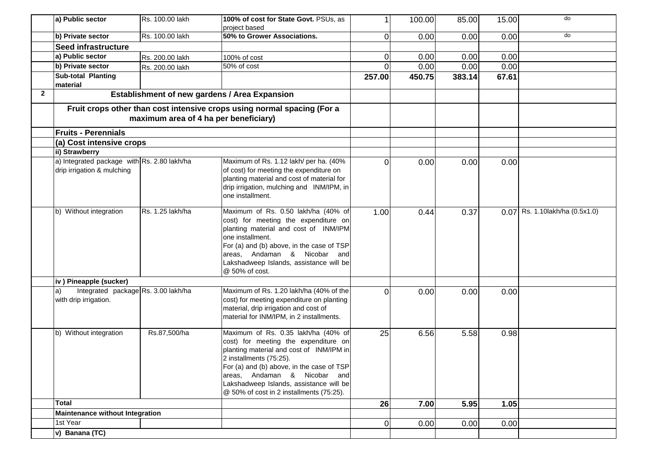|              | a) Public sector                                                          | Rs. 100.00 lakh                       | 100% of cost for State Govt. PSUs, as<br>project based                                                                                                                                                                                                                                                                 |          | 100.00 | 85.00  | 15.00 | do                                |
|--------------|---------------------------------------------------------------------------|---------------------------------------|------------------------------------------------------------------------------------------------------------------------------------------------------------------------------------------------------------------------------------------------------------------------------------------------------------------------|----------|--------|--------|-------|-----------------------------------|
|              | b) Private sector                                                         | Rs. 100.00 lakh                       | 50% to Grower Associations.                                                                                                                                                                                                                                                                                            | 0l       | 0.00   | 0.00   | 0.00  | do                                |
|              | Seed infrastructure                                                       |                                       |                                                                                                                                                                                                                                                                                                                        |          |        |        |       |                                   |
|              | a) Public sector                                                          | Rs. 200.00 lakh                       | 100% of cost                                                                                                                                                                                                                                                                                                           | 0l       | 0.00   | 0.00   | 0.00  |                                   |
|              | b) Private sector                                                         | Rs. 200.00 lakh                       | $\overline{50\%}$ of cost                                                                                                                                                                                                                                                                                              | ΩI       | 0.00   | 0.00   | 0.00  |                                   |
|              | Sub-total Planting                                                        |                                       |                                                                                                                                                                                                                                                                                                                        | 257.00   | 450.75 | 383.14 | 67.61 |                                   |
|              | material                                                                  |                                       |                                                                                                                                                                                                                                                                                                                        |          |        |        |       |                                   |
| $\mathbf{2}$ |                                                                           |                                       | Establishment of new gardens / Area Expansion                                                                                                                                                                                                                                                                          |          |        |        |       |                                   |
|              |                                                                           |                                       | Fruit crops other than cost intensive crops using normal spacing (For a                                                                                                                                                                                                                                                |          |        |        |       |                                   |
|              |                                                                           | maximum area of 4 ha per beneficiary) |                                                                                                                                                                                                                                                                                                                        |          |        |        |       |                                   |
|              | <b>Fruits - Perennials</b>                                                |                                       |                                                                                                                                                                                                                                                                                                                        |          |        |        |       |                                   |
|              | (a) Cost intensive crops                                                  |                                       |                                                                                                                                                                                                                                                                                                                        |          |        |        |       |                                   |
|              | ii) Strawberry                                                            |                                       |                                                                                                                                                                                                                                                                                                                        |          |        |        |       |                                   |
|              | a) Integrated package with Rs. 2.80 lakh/ha<br>drip irrigation & mulching |                                       | Maximum of Rs. 1.12 lakh/ per ha. (40%<br>of cost) for meeting the expenditure on<br>planting material and cost of material for                                                                                                                                                                                        | ΩI       | 0.00   | 0.00   | 0.00  |                                   |
|              |                                                                           |                                       | drip irrigation, mulching and INM/IPM, in<br>one installment.                                                                                                                                                                                                                                                          |          |        |        |       |                                   |
|              | b) Without integration                                                    | Rs. 1.25 lakh/ha                      | Maximum of Rs. 0.50 lakh/ha (40% of<br>cost) for meeting the expenditure on<br>planting material and cost of INM/IPM<br>one installment.<br>For (a) and (b) above, in the case of TSP<br>areas, Andaman & Nicobar and<br>Lakshadweep Islands, assistance will be<br>@ 50% of cost.                                     | 1.00     | 0.44   | 0.37   |       | $0.07$ Rs. 1.10 lakh/ha (0.5x1.0) |
|              | iv) Pineapple (sucker)                                                    |                                       |                                                                                                                                                                                                                                                                                                                        |          |        |        |       |                                   |
|              | Integrated package Rs. 3.00 lakh/ha<br>a)<br>with drip irrigation.        |                                       | Maximum of Rs. 1.20 lakh/ha (40% of the<br>cost) for meeting expenditure on planting<br>material, drip irrigation and cost of<br>material for INM/IPM, in 2 installments.                                                                                                                                              | $\Omega$ | 0.00   | 0.00   | 0.00  |                                   |
|              | b) Without integration                                                    | Rs.87,500/ha                          | Maximum of Rs. 0.35 lakh/ha (40% of<br>cost) for meeting the expenditure on<br>planting material and cost of INM/IPM in<br>2 installments (75:25).<br>For (a) and (b) above, in the case of TSP<br>areas, Andaman & Nicobar and<br>Lakshadweep Islands, assistance will be<br>@ 50% of cost in 2 installments (75:25). | 25       | 6.56   | 5.58   | 0.98  |                                   |
|              | <b>Total</b>                                                              |                                       |                                                                                                                                                                                                                                                                                                                        | 26       | 7.00   | 5.95   | 1.05  |                                   |
|              | <b>Maintenance without Integration</b>                                    |                                       |                                                                                                                                                                                                                                                                                                                        |          |        |        |       |                                   |
|              | 1st Year                                                                  |                                       |                                                                                                                                                                                                                                                                                                                        | 0l       | 0.00   | 0.00   | 0.00  |                                   |
|              | v) Banana (TC)                                                            |                                       |                                                                                                                                                                                                                                                                                                                        |          |        |        |       |                                   |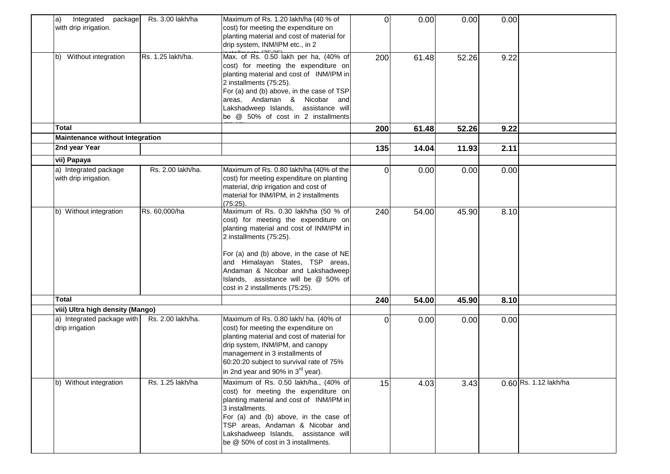| Integrated<br>package<br>a)<br>with drip irrigation.          | Rs. 3.00 lakh/ha  | Maximum of Rs. 1.20 lakh/ha (40 % of<br>cost) for meeting the expenditure on<br>planting material and cost of material for<br>drip system, INM/IPM etc., in 2                                                                                                                                                                                       | $\Omega$ | 0.00  | 0.00  | 0.00 |                       |
|---------------------------------------------------------------|-------------------|-----------------------------------------------------------------------------------------------------------------------------------------------------------------------------------------------------------------------------------------------------------------------------------------------------------------------------------------------------|----------|-------|-------|------|-----------------------|
| Without integration<br>b)                                     | Rs. 1.25 lakh/ha. | Max. of Rs. 0.50 lakh per ha, (40% of<br>cost) for meeting the expenditure on<br>planting material and cost of INM/IPM in<br>2 installments (75:25).<br>For (a) and (b) above, in the case of TSP<br>areas, Andaman & Nicobar and<br>Lakshadweep Islands, assistance will<br>be @ 50% of cost in 2 installments                                     | 200      | 61.48 | 52.26 | 9.22 |                       |
| Total                                                         |                   |                                                                                                                                                                                                                                                                                                                                                     | 200      | 61.48 | 52.26 | 9.22 |                       |
| <b>Maintenance without Integration</b>                        |                   |                                                                                                                                                                                                                                                                                                                                                     |          |       |       |      |                       |
| 2nd year Year                                                 |                   |                                                                                                                                                                                                                                                                                                                                                     | 135      | 14.04 | 11.93 | 2.11 |                       |
| vii) Papaya<br>a) Integrated package<br>with drip irrigation. | Rs. 2.00 lakh/ha. | Maximum of Rs. 0.80 lakh/ha (40% of the<br>cost) for meeting expenditure on planting<br>material, drip irrigation and cost of<br>material for INM/IPM, in 2 installments<br>(75:25).                                                                                                                                                                | $\Omega$ | 0.00  | 0.00  | 0.00 |                       |
| b) Without integration                                        | Rs. 60,000/ha     | Maximum of Rs. 0.30 lakh/ha (50 % of<br>cost) for meeting the expenditure on<br>planting material and cost of INM/IPM in<br>2 installments (75:25).<br>For (a) and (b) above, in the case of NE<br>and Himalayan States, TSP areas,<br>Andaman & Nicobar and Lakshadweep<br>Islands, assistance will be @ 50% of<br>cost in 2 installments (75:25). | 240      | 54.00 | 45.90 | 8.10 |                       |
| Total                                                         |                   |                                                                                                                                                                                                                                                                                                                                                     | 240      | 54.00 | 45.90 | 8.10 |                       |
| viii) Ultra high density (Mango)                              |                   |                                                                                                                                                                                                                                                                                                                                                     |          |       |       |      |                       |
| a) Integrated package with<br>drip irrigation                 | Rs. 2.00 lakh/ha. | Maximum of Rs. 0.80 lakh/ ha. (40% of<br>cost) for meeting the expenditure on<br>planting material and cost of material for<br>drip system, INM/IPM, and canopy<br>management in 3 installments of<br>60:20:20 subject to survival rate of 75%<br>in 2nd year and 90% in 3 <sup>rd</sup> year).                                                     | 0        | 0.00  | 0.00  | 0.00 |                       |
| b) Without integration                                        | Rs. 1.25 lakh/ha  | Maximum of Rs. 0.50 lakh/ha., (40% of<br>cost) for meeting the expenditure on<br>planting material and cost of INM/IPM in<br>3 installments.<br>For (a) and (b) above, in the case of<br>TSP areas, Andaman & Nicobar and<br>Lakshadweep Islands, assistance will<br>be @ 50% of cost in 3 installments.                                            | 15       | 4.03  | 3.43  |      | 0.60 Rs. 1.12 lakh/ha |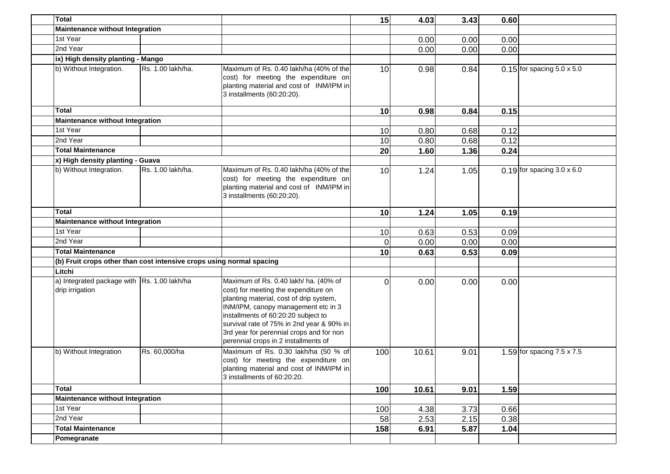| <b>Total</b>                                                         |                   |                                                                                                                                                                                                                                                                                                                                         | 15              | 4.03  | 3.43 | 0.60 |                                   |
|----------------------------------------------------------------------|-------------------|-----------------------------------------------------------------------------------------------------------------------------------------------------------------------------------------------------------------------------------------------------------------------------------------------------------------------------------------|-----------------|-------|------|------|-----------------------------------|
| <b>Maintenance without Integration</b>                               |                   |                                                                                                                                                                                                                                                                                                                                         |                 |       |      |      |                                   |
| 1st Year                                                             |                   |                                                                                                                                                                                                                                                                                                                                         |                 | 0.00  | 0.00 | 0.00 |                                   |
| 2nd Year                                                             |                   |                                                                                                                                                                                                                                                                                                                                         |                 | 0.00  | 0.00 | 0.00 |                                   |
| ix) High density planting - Mango                                    |                   |                                                                                                                                                                                                                                                                                                                                         |                 |       |      |      |                                   |
| b) Without Integration.                                              | Rs. 1.00 lakh/ha. | Maximum of Rs. 0.40 lakh/ha (40% of the<br>cost) for meeting the expenditure on<br>planting material and cost of INM/IPM in<br>3 installments (60:20:20).                                                                                                                                                                               | 10              | 0.98  | 0.84 |      | $0.15$ for spacing 5.0 x 5.0      |
| Total                                                                |                   |                                                                                                                                                                                                                                                                                                                                         | 10              | 0.98  | 0.84 | 0.15 |                                   |
| <b>Maintenance without Integration</b>                               |                   |                                                                                                                                                                                                                                                                                                                                         |                 |       |      |      |                                   |
| 1st Year                                                             |                   |                                                                                                                                                                                                                                                                                                                                         | 10              | 0.80  | 0.68 | 0.12 |                                   |
| 2nd Year                                                             |                   |                                                                                                                                                                                                                                                                                                                                         | 10              | 0.80  | 0.68 | 0.12 |                                   |
| <b>Total Maintenance</b>                                             |                   |                                                                                                                                                                                                                                                                                                                                         | 20              | 1.60  | 1.36 | 0.24 |                                   |
| x) High density planting - Guava                                     |                   |                                                                                                                                                                                                                                                                                                                                         |                 |       |      |      |                                   |
| b) Without Integration.                                              | Rs. 1.00 lakh/ha. | Maximum of Rs. 0.40 lakh/ha (40% of the<br>cost) for meeting the expenditure on<br>planting material and cost of INM/IPM in<br>3 installments (60:20:20).                                                                                                                                                                               | 10              | 1.24  | 1.05 |      | $0.19$ for spacing 3.0 x 6.0      |
| <b>Total</b>                                                         |                   |                                                                                                                                                                                                                                                                                                                                         | 10 <sub>l</sub> | 1.24  | 1.05 | 0.19 |                                   |
| <b>Maintenance without Integration</b>                               |                   |                                                                                                                                                                                                                                                                                                                                         |                 |       |      |      |                                   |
| 1st Year                                                             |                   |                                                                                                                                                                                                                                                                                                                                         |                 |       |      |      |                                   |
| 2nd Year                                                             |                   |                                                                                                                                                                                                                                                                                                                                         | 10              | 0.63  | 0.53 | 0.09 |                                   |
| <b>Total Maintenance</b>                                             |                   |                                                                                                                                                                                                                                                                                                                                         | $\Omega$        | 0.00  | 0.00 | 0.00 |                                   |
|                                                                      |                   |                                                                                                                                                                                                                                                                                                                                         | 10              | 0.63  | 0.53 | 0.09 |                                   |
| (b) Fruit crops other than cost intensive crops using normal spacing |                   |                                                                                                                                                                                                                                                                                                                                         |                 |       |      |      |                                   |
| Litchi                                                               |                   |                                                                                                                                                                                                                                                                                                                                         |                 |       |      |      |                                   |
| a) Integrated package with  Rs. 1.00 lakh/ha<br>drip irrigation      |                   | Maximum of Rs. 0.40 lakh/ ha. (40% of<br>cost) for meeting the expenditure on<br>planting material, cost of drip system,<br>INM/IPM, canopy management etc in 3<br>installments of 60:20:20 subject to<br>survival rate of 75% in 2nd year & 90% in<br>3rd year for perennial crops and for non<br>perennial crops in 2 installments of | $\Omega$        | 0.00  | 0.00 | 0.00 |                                   |
| b) Without Integration                                               | Rs. 60,000/ha     | Maximum of Rs. 0.30 lakh/ha (50 % of<br>cost) for meeting the expenditure on<br>planting material and cost of INM/IPM in<br>3 installments of 60:20:20.                                                                                                                                                                                 | 100             | 10.61 | 9.01 |      | 1.59 for spacing $7.5 \times 7.5$ |
| <b>Total</b>                                                         |                   |                                                                                                                                                                                                                                                                                                                                         | 100             | 10.61 | 9.01 | 1.59 |                                   |
| <b>Maintenance without Integration</b>                               |                   |                                                                                                                                                                                                                                                                                                                                         |                 |       |      |      |                                   |
| 1st Year                                                             |                   |                                                                                                                                                                                                                                                                                                                                         | 100             | 4.38  | 3.73 | 0.66 |                                   |
| 2nd Year                                                             |                   |                                                                                                                                                                                                                                                                                                                                         | 58              | 2.53  | 2.15 | 0.38 |                                   |
| <b>Total Maintenance</b>                                             |                   |                                                                                                                                                                                                                                                                                                                                         | 158             | 6.91  | 5.87 | 1.04 |                                   |
| Pomegranate                                                          |                   |                                                                                                                                                                                                                                                                                                                                         |                 |       |      |      |                                   |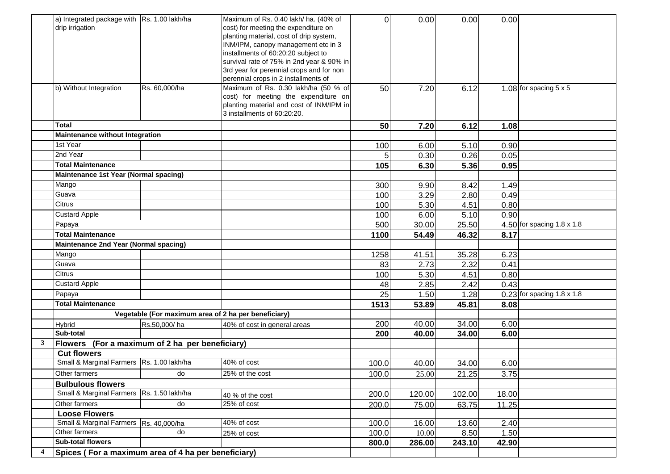|   | a) Integrated package with Rs. 1.00 lakh/ha             |               | Maximum of Rs. 0.40 lakh/ ha. (40% of                                            | $\Omega$ | 0.00         | 0.00   | 0.00         |                                   |
|---|---------------------------------------------------------|---------------|----------------------------------------------------------------------------------|----------|--------------|--------|--------------|-----------------------------------|
|   | drip irrigation                                         |               | cost) for meeting the expenditure on                                             |          |              |        |              |                                   |
|   |                                                         |               | planting material, cost of drip system,<br>INM/IPM, canopy management etc in 3   |          |              |        |              |                                   |
|   |                                                         |               | installments of 60:20:20 subject to                                              |          |              |        |              |                                   |
|   |                                                         |               | survival rate of 75% in 2nd year & 90% in                                        |          |              |        |              |                                   |
|   |                                                         |               | 3rd year for perennial crops and for non                                         |          |              |        |              |                                   |
|   |                                                         |               | perennial crops in 2 installments of                                             |          |              |        |              |                                   |
|   | b) Without Integration                                  | Rs. 60,000/ha | Maximum of Rs. 0.30 lakh/ha (50 % of                                             | 50       | 7.20         | 6.12   |              | 1.08 for spacing $5 \times 5$     |
|   |                                                         |               | cost) for meeting the expenditure on<br>planting material and cost of INM/IPM in |          |              |        |              |                                   |
|   |                                                         |               | 3 installments of 60:20:20.                                                      |          |              |        |              |                                   |
|   | <b>Total</b>                                            |               |                                                                                  |          |              |        |              |                                   |
|   |                                                         |               |                                                                                  | 50       | 7.20         | 6.12   | 1.08         |                                   |
|   | <b>Maintenance without Integration</b><br>1st Year      |               |                                                                                  |          |              | 5.10   |              |                                   |
|   | 2nd Year                                                |               |                                                                                  | 100<br>5 | 6.00<br>0.30 | 0.26   | 0.90<br>0.05 |                                   |
|   | <b>Total Maintenance</b>                                |               |                                                                                  | 105      |              | 5.36   | 0.95         |                                   |
|   | Maintenance 1st Year (Normal spacing)                   |               |                                                                                  |          | 6.30         |        |              |                                   |
|   | Mango                                                   |               |                                                                                  | 300      | 9.90         | 8.42   | 1.49         |                                   |
|   | Guava                                                   |               |                                                                                  | 100      | 3.29         | 2.80   | 0.49         |                                   |
|   | Citrus                                                  |               |                                                                                  | 100      | 5.30         | 4.51   | 0.80         |                                   |
|   | <b>Custard Apple</b>                                    |               |                                                                                  | 100      | 6.00         | 5.10   | 0.90         |                                   |
|   | Papaya                                                  |               |                                                                                  | 500      | 30.00        | 25.50  |              | 4.50 for spacing $1.8 \times 1.8$ |
|   | <b>Total Maintenance</b>                                |               |                                                                                  | 1100     | 54.49        | 46.32  | 8.17         |                                   |
|   | Maintenance 2nd Year (Normal spacing)                   |               |                                                                                  |          |              |        |              |                                   |
|   | Mango                                                   |               |                                                                                  | 1258     | 41.51        | 35.28  | 6.23         |                                   |
|   | Guava                                                   |               |                                                                                  | 83       | 2.73         | 2.32   | 0.41         |                                   |
|   | Citrus                                                  |               |                                                                                  | 100      | 5.30         | 4.51   | 0.80         |                                   |
|   | <b>Custard Apple</b>                                    |               |                                                                                  | 48       | 2.85         | 2.42   | 0.43         |                                   |
|   | Papaya                                                  |               |                                                                                  | 25       | 1.50         | 1.28   |              | $0.23$ for spacing 1.8 x 1.8      |
|   | <b>Total Maintenance</b>                                |               |                                                                                  | 1513     | 53.89        | 45.81  | 8.08         |                                   |
|   |                                                         |               | Vegetable (For maximum area of 2 ha per beneficiary)                             |          |              |        |              |                                   |
|   | Hybrid                                                  | Rs.50,000/ha  | 40% of cost in general areas                                                     | 200      | 40.00        | 34.00  | 6.00         |                                   |
|   | Sub-total                                               |               |                                                                                  | 200      | 40.00        | 34.00  | 6.00         |                                   |
| 3 | Flowers (For a maximum of 2 ha per beneficiary)         |               |                                                                                  |          |              |        |              |                                   |
|   | <b>Cut flowers</b>                                      |               |                                                                                  |          |              |        |              |                                   |
|   | Small & Marginal Farmers Rs. 1.00 lakh/ha               |               | 40% of cost                                                                      | 100.0    | 40.00        | 34.00  | 6.00         |                                   |
|   | Other farmers                                           | do            | 25% of the cost                                                                  | 100.0    | 25.00        | 21.25  | 3.75         |                                   |
|   | <b>Bulbulous flowers</b>                                |               |                                                                                  |          |              |        |              |                                   |
|   | Small & Marginal Farmers Rs. 1.50 lakh/ha               |               | 40 % of the cost                                                                 | 200.0    | 120.00       | 102.00 | 18.00        |                                   |
|   | Other farmers                                           | do            | 25% of cost                                                                      | 200.0    | 75.00        | 63.75  | 11.25        |                                   |
|   | <b>Loose Flowers</b>                                    |               | 40% of cost                                                                      |          |              |        |              |                                   |
|   | Small & Marginal Farmers Rs. 40,000/ha<br>Other farmers | do            |                                                                                  | 100.0    | 16.00        | 13.60  | 2.40         |                                   |
|   | <b>Sub-total flowers</b>                                |               | 25% of cost                                                                      | 100.0    | 10.00        | 8.50   | 1.50         |                                   |
|   |                                                         |               |                                                                                  | 800.0    | 286.00       | 243.10 | 42.90        |                                   |
|   | Spices (For a maximum area of 4 ha per beneficiary)     |               |                                                                                  |          |              |        |              |                                   |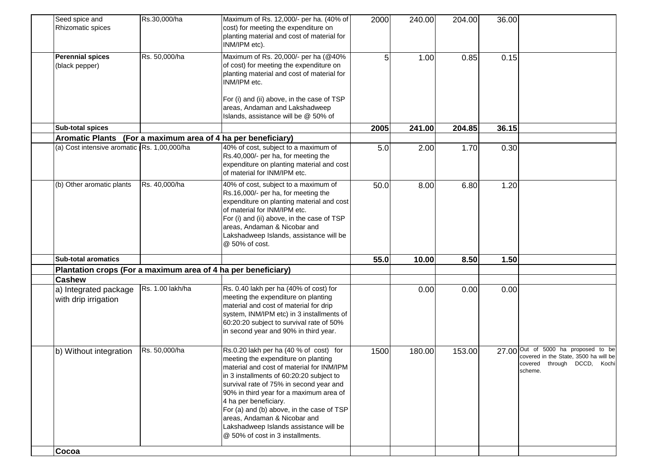| Seed spice and<br>Rhizomatic spices                           | Rs.30,000/ha     | Maximum of Rs. 12,000/- per ha. (40% of<br>cost) for meeting the expenditure on<br>planting material and cost of material for<br>INM/IPM etc).                                                                                                                                                                                                                                                                                                   | 2000 | 240.00 | 204.00 | 36.00 |                                                                                                                        |
|---------------------------------------------------------------|------------------|--------------------------------------------------------------------------------------------------------------------------------------------------------------------------------------------------------------------------------------------------------------------------------------------------------------------------------------------------------------------------------------------------------------------------------------------------|------|--------|--------|-------|------------------------------------------------------------------------------------------------------------------------|
| <b>Perennial spices</b><br>(black pepper)                     | Rs. 50,000/ha    | Maximum of Rs. 20,000/- per ha (@40%<br>of cost) for meeting the expenditure on<br>planting material and cost of material for<br>INM/IPM etc.                                                                                                                                                                                                                                                                                                    | 5    | 1.00   | 0.85   | 0.15  |                                                                                                                        |
|                                                               |                  | For (i) and (ii) above, in the case of TSP<br>areas, Andaman and Lakshadweep<br>Islands, assistance will be @ 50% of                                                                                                                                                                                                                                                                                                                             |      |        |        |       |                                                                                                                        |
| Sub-total spices                                              |                  |                                                                                                                                                                                                                                                                                                                                                                                                                                                  | 2005 | 241.00 | 204.85 | 36.15 |                                                                                                                        |
| Aromatic Plants (For a maximum area of 4 ha per beneficiary)  |                  |                                                                                                                                                                                                                                                                                                                                                                                                                                                  |      |        |        |       |                                                                                                                        |
| (a) Cost intensive aromatic Rs. 1,00,000/ha                   |                  | 40% of cost, subject to a maximum of<br>Rs.40,000/- per ha, for meeting the<br>expenditure on planting material and cost<br>of material for INM/IPM etc.                                                                                                                                                                                                                                                                                         | 5.0  | 2.00   | 1.70   | 0.30  |                                                                                                                        |
| (b) Other aromatic plants                                     | Rs. 40,000/ha    | 40% of cost, subject to a maximum of<br>Rs.16,000/- per ha, for meeting the<br>expenditure on planting material and cost<br>of material for INM/IPM etc.<br>For (i) and (ii) above, in the case of TSP<br>areas, Andaman & Nicobar and<br>Lakshadweep Islands, assistance will be<br>@ 50% of cost.                                                                                                                                              | 50.0 | 8.00   | 6.80   | 1.20  |                                                                                                                        |
| <b>Sub-total aromatics</b>                                    |                  |                                                                                                                                                                                                                                                                                                                                                                                                                                                  | 55.0 | 10.00  | 8.50   | 1.50  |                                                                                                                        |
| Plantation crops (For a maximum area of 4 ha per beneficiary) |                  |                                                                                                                                                                                                                                                                                                                                                                                                                                                  |      |        |        |       |                                                                                                                        |
| <b>Cashew</b>                                                 |                  |                                                                                                                                                                                                                                                                                                                                                                                                                                                  |      |        |        |       |                                                                                                                        |
| a) Integrated package<br>with drip irrigation                 | Rs. 1.00 lakh/ha | Rs. 0.40 lakh per ha (40% of cost) for<br>meeting the expenditure on planting<br>material and cost of material for drip<br>system, INM/IPM etc) in 3 installments of<br>60:20:20 subject to survival rate of 50%<br>in second year and 90% in third year.                                                                                                                                                                                        |      | 0.00   | 0.00   | 0.00  |                                                                                                                        |
| b) Without integration                                        | Rs. 50,000/ha    | Rs.0.20 lakh per ha (40 % of cost) for<br>meeting the expenditure on planting<br>material and cost of material for INM/IPM<br>in 3 installments of 60:20:20 subject to<br>survival rate of 75% in second year and<br>90% in third year for a maximum area of<br>4 ha per beneficiary.<br>For (a) and (b) above, in the case of TSP<br>areas, Andaman & Nicobar and<br>Lakshadweep Islands assistance will be<br>@ 50% of cost in 3 installments. | 1500 | 180.00 | 153.00 |       | 27.00 Out of 5000 ha proposed to be<br>covered in the State, 3500 ha will be<br>covered through DCCD, Kochi<br>scheme. |
| Cocoa                                                         |                  |                                                                                                                                                                                                                                                                                                                                                                                                                                                  |      |        |        |       |                                                                                                                        |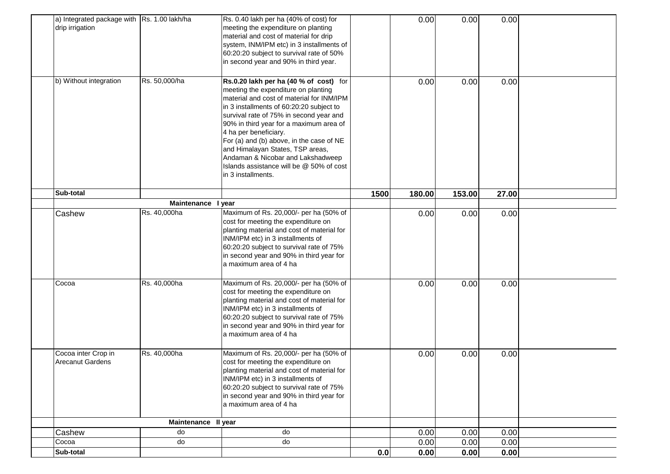| a) Integrated package with Rs. 1.00 lakh/ha<br>drip irrigation |                     | Rs. 0.40 lakh per ha (40% of cost) for<br>meeting the expenditure on planting<br>material and cost of material for drip<br>system, INM/IPM etc) in 3 installments of<br>60:20:20 subject to survival rate of 50%<br>in second year and 90% in third year.                                                                                                                                                                                                                    |      | 0.00   | 0.00   | 0.00  |  |
|----------------------------------------------------------------|---------------------|------------------------------------------------------------------------------------------------------------------------------------------------------------------------------------------------------------------------------------------------------------------------------------------------------------------------------------------------------------------------------------------------------------------------------------------------------------------------------|------|--------|--------|-------|--|
| b) Without integration                                         | Rs. 50,000/ha       | Rs.0.20 lakh per ha (40 % of cost) for<br>meeting the expenditure on planting<br>material and cost of material for INM/IPM<br>in 3 installments of 60:20:20 subject to<br>survival rate of 75% in second year and<br>90% in third year for a maximum area of<br>4 ha per beneficiary.<br>For (a) and (b) above, in the case of NE<br>and Himalayan States, TSP areas,<br>Andaman & Nicobar and Lakshadweep<br>Islands assistance will be @ 50% of cost<br>in 3 installments. |      | 0.00   | 0.00   | 0.00  |  |
| Sub-total                                                      |                     |                                                                                                                                                                                                                                                                                                                                                                                                                                                                              | 1500 | 180.00 | 153.00 | 27.00 |  |
|                                                                | Maintenance I year  |                                                                                                                                                                                                                                                                                                                                                                                                                                                                              |      |        |        |       |  |
| Cashew                                                         | Rs. 40,000ha        | Maximum of Rs. 20,000/- per ha (50% of<br>cost for meeting the expenditure on<br>planting material and cost of material for<br>INM/IPM etc) in 3 installments of<br>60:20:20 subject to survival rate of 75%<br>in second year and 90% in third year for<br>a maximum area of 4 ha                                                                                                                                                                                           |      | 0.00   | 0.00   | 0.00  |  |
| Cocoa                                                          | Rs. 40,000ha        | Maximum of Rs. 20,000/- per ha (50% of<br>cost for meeting the expenditure on<br>planting material and cost of material for<br>INM/IPM etc) in 3 installments of<br>60:20:20 subject to survival rate of 75%<br>in second year and 90% in third year for<br>a maximum area of 4 ha                                                                                                                                                                                           |      | 0.00   | 0.00   | 0.00  |  |
| Cocoa inter Crop in<br><b>Arecanut Gardens</b>                 | Rs. 40,000ha        | Maximum of Rs. 20,000/- per ha (50% of<br>cost for meeting the expenditure on<br>planting material and cost of material for<br>INM/IPM etc) in 3 installments of<br>60:20:20 subject to survival rate of 75%<br>in second year and 90% in third year for<br>a maximum area of 4 ha                                                                                                                                                                                           |      | 0.00   | 0.00   | 0.00  |  |
|                                                                | Maintenance II year |                                                                                                                                                                                                                                                                                                                                                                                                                                                                              |      |        |        |       |  |
| Cashew                                                         | do                  | do                                                                                                                                                                                                                                                                                                                                                                                                                                                                           |      | 0.00   | 0.00   | 0.00  |  |
| Cocoa                                                          | do                  | do                                                                                                                                                                                                                                                                                                                                                                                                                                                                           |      | 0.00   | 0.00   | 0.00  |  |
| Sub-total                                                      |                     |                                                                                                                                                                                                                                                                                                                                                                                                                                                                              | 0.0  | 0.00   | 0.00   | 0.00  |  |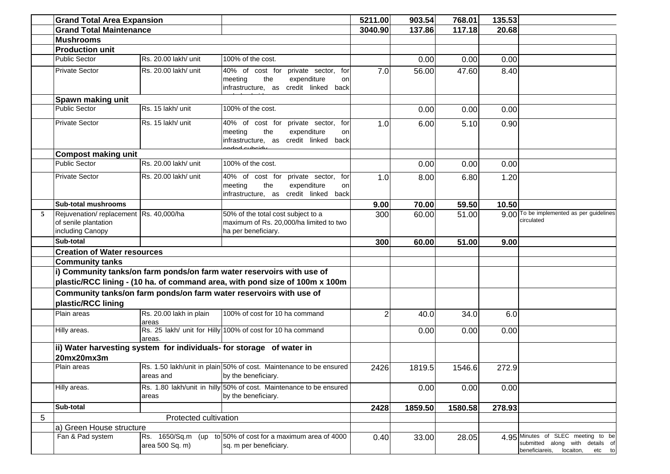|   | <b>Grand Total Area Expansion</b>                                                  |                                      |                                                                                                                                     | 5211.00       | 903.54  | 768.01  | 135.53 |                                                                                                                |
|---|------------------------------------------------------------------------------------|--------------------------------------|-------------------------------------------------------------------------------------------------------------------------------------|---------------|---------|---------|--------|----------------------------------------------------------------------------------------------------------------|
|   | <b>Grand Total Maintenance</b>                                                     |                                      |                                                                                                                                     | 3040.90       | 137.86  | 117.18  | 20.68  |                                                                                                                |
|   | <b>Mushrooms</b>                                                                   |                                      |                                                                                                                                     |               |         |         |        |                                                                                                                |
|   | <b>Production unit</b>                                                             |                                      |                                                                                                                                     |               |         |         |        |                                                                                                                |
|   | <b>Public Sector</b>                                                               | Rs. 20.00 lakh/ unit                 | 100% of the cost.                                                                                                                   |               | 0.00    | 0.00    | 0.00   |                                                                                                                |
|   | <b>Private Sector</b>                                                              | Rs. 20.00 lakh/ unit                 | 40% of cost for<br>private sector,<br>for<br>expenditure<br>meeting<br>the<br>on<br>infrastructure, as credit linked back           | 7.0           | 56.00   | 47.60   | 8.40   |                                                                                                                |
|   | Spawn making unit                                                                  |                                      |                                                                                                                                     |               |         |         |        |                                                                                                                |
|   | <b>Public Sector</b>                                                               | Rs. 15 lakh/ unit                    | 100% of the cost.                                                                                                                   |               | 0.00    | 0.00    | 0.00   |                                                                                                                |
|   | <b>Private Sector</b>                                                              | Rs. 15 lakh/ unit                    | 40% of cost for private sector, for<br>expenditure<br>meeting<br>the<br>on<br>infrastructure, as credit linked back<br>عطمط صياعهما | 1.0           | 6.00    | 5.10    | 0.90   |                                                                                                                |
|   | <b>Compost making unit</b>                                                         |                                      |                                                                                                                                     |               |         |         |        |                                                                                                                |
|   | <b>Public Sector</b>                                                               | Rs. 20.00 lakh/ unit                 | 100% of the cost.                                                                                                                   |               | 0.00    | 0.00    | 0.00   |                                                                                                                |
|   | <b>Private Sector</b>                                                              | Rs. 20.00 lakh/ unit                 | 40% of cost for private sector, for<br>meeting<br>the<br>expenditure<br>on<br>infrastructure, as credit linked back                 | 1.0           | 8.00    | 6.80    | 1.20   |                                                                                                                |
|   | <b>Sub-total mushrooms</b>                                                         |                                      |                                                                                                                                     | 9.00          | 70.00   | 59.50   | 10.50  |                                                                                                                |
| 5 | Rejuvenation/replacement Rs. 40,000/ha<br>of senile plantation<br>including Canopy |                                      | 50% of the total cost subject to a<br>maximum of Rs. 20,000/ha limited to two<br>ha per beneficiary.                                | 300           | 60.00   | 51.00   |        | 9.00 To be implemented as per guidelines<br>circulated                                                         |
|   | Sub-total                                                                          |                                      |                                                                                                                                     | 300           | 60.00   | 51.00   | 9.00   |                                                                                                                |
|   | <b>Creation of Water resources</b>                                                 |                                      |                                                                                                                                     |               |         |         |        |                                                                                                                |
|   | <b>Community tanks</b>                                                             |                                      |                                                                                                                                     |               |         |         |        |                                                                                                                |
|   |                                                                                    |                                      | i) Community tanks/on farm ponds/on farm water reservoirs with use of                                                               |               |         |         |        |                                                                                                                |
|   |                                                                                    |                                      | plastic/RCC lining - (10 ha. of command area, with pond size of 100m x 100m                                                         |               |         |         |        |                                                                                                                |
|   | plastic/RCC lining                                                                 |                                      | Community tanks/on farm ponds/on farm water reservoirs with use of                                                                  |               |         |         |        |                                                                                                                |
|   | Plain areas                                                                        | Rs. 20.00 lakh in plain<br>areas     | 100% of cost for 10 ha command                                                                                                      | $\mathcal{P}$ | 40.0    | 34.0    | 6.0    |                                                                                                                |
|   | Hilly areas.                                                                       | areas.                               | Rs. 25 lakh/ unit for Hilly 100% of cost for 10 ha command                                                                          |               | 0.00    | 0.00    | 0.00   |                                                                                                                |
|   | 20mx20mx3m                                                                         |                                      | ii) Water harvesting system for individuals- for storage of water in                                                                |               |         |         |        |                                                                                                                |
|   | Plain areas                                                                        | areas and                            | Rs. 1.50 lakh/unit in plain 50% of cost. Maintenance to be ensured<br>by the beneficiary.                                           | 2426          | 1819.5  | 1546.6  | 272.9  |                                                                                                                |
|   | Hilly areas.                                                                       | areas                                | Rs. 1.80 lakh/unit in hilly 50% of cost. Maintenance to be ensured<br>by the beneficiary.                                           |               | 0.00    | 0.00    | 0.00   |                                                                                                                |
|   | Sub-total                                                                          |                                      |                                                                                                                                     | 2428          | 1859.50 | 1580.58 | 278.93 |                                                                                                                |
| 5 |                                                                                    | Protected cultivation                |                                                                                                                                     |               |         |         |        |                                                                                                                |
|   | a) Green House structure                                                           |                                      |                                                                                                                                     |               |         |         |        |                                                                                                                |
|   | Fan & Pad system                                                                   | Rs. 1650/Sq.m (up<br>area 500 Sq. m) | to 50% of cost for a maximum area of 4000<br>sq. m per beneficiary.                                                                 | 0.40          | 33.00   | 28.05   |        | 4.95 Minutes of SLEC meeting to be<br>submitted along with details of<br>beneficiareis,<br>locaiton,<br>etc to |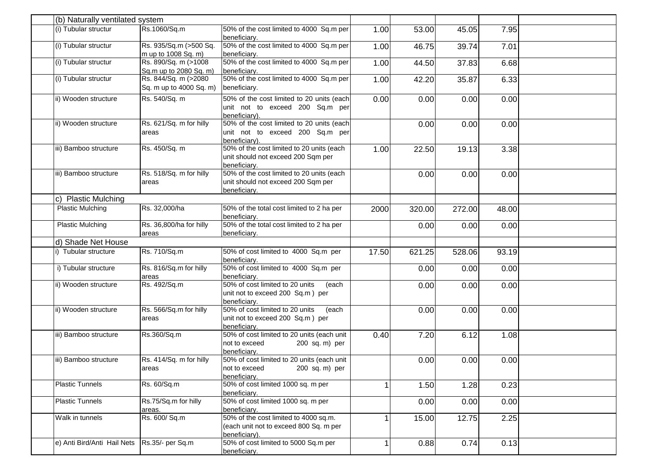| (b) Naturally ventilated system |                         |                                            |       |        |        |       |  |
|---------------------------------|-------------------------|--------------------------------------------|-------|--------|--------|-------|--|
| (i) Tubular structur            | Rs.1060/Sq.m            | 50% of the cost limited to 4000 Sq.m per   | 1.00  | 53.00  | 45.05  | 7.95  |  |
|                                 |                         | beneficiary.                               |       |        |        |       |  |
| (i) Tubular structur            | Rs. 935/Sq.m (>500 Sq.  | 50% of the cost limited to 4000 Sq.m per   | 1.00  | 46.75  | 39.74  | 7.01  |  |
|                                 | m up to 1008 Sq. m)     | beneficiary.                               |       |        |        |       |  |
| (i) Tubular structur            | Rs. 890/Sq. m (>1008    | 50% of the cost limited to 4000 Sq.m per   | 1.00  | 44.50  | 37.83  | 6.68  |  |
|                                 | Sq.m up to 2080 Sq. m)  | beneficiary.                               |       |        |        |       |  |
| (i) Tubular structur            | Rs. 844/Sq. m (>2080    | 50% of the cost limited to 4000 Sq.m per   | 1.00  | 42.20  | 35.87  | 6.33  |  |
|                                 | Sq. m up to 4000 Sq. m) | beneficiary.                               |       |        |        |       |  |
| ii) Wooden structure            | Rs. 540/Sq. m           | 50% of the cost limited to 20 units (each  | 0.00  | 0.00   | 0.00   | 0.00  |  |
|                                 |                         | unit not to exceed 200 Sq.m per            |       |        |        |       |  |
|                                 |                         | beneficiary).                              |       |        |        |       |  |
| ii) Wooden structure            | Rs. 621/Sq. m for hilly | 50% of the cost limited to 20 units (each  |       | 0.00   | 0.00   | 0.00  |  |
|                                 | areas                   | unit not to exceed 200 Sq.m per            |       |        |        |       |  |
|                                 |                         | beneficiary).                              |       |        |        |       |  |
| iii) Bamboo structure           | Rs. 450/Sq. m           | 50% of the cost limited to 20 units (each  | 1.00  | 22.50  | 19.13  | 3.38  |  |
|                                 |                         | unit should not exceed 200 Sqm per         |       |        |        |       |  |
|                                 |                         | beneficiarv.                               |       |        |        |       |  |
| iii) Bamboo structure           | Rs. 518/Sq. m for hilly | 50% of the cost limited to 20 units (each  |       | 0.00   | 0.00   | 0.00  |  |
|                                 | areas                   | unit should not exceed 200 Sqm per         |       |        |        |       |  |
|                                 |                         | beneficiary.                               |       |        |        |       |  |
| c) Plastic Mulching             |                         |                                            |       |        |        |       |  |
| <b>Plastic Mulching</b>         | Rs. 32,000/ha           | 50% of the total cost limited to 2 ha per  | 2000  | 320.00 | 272.00 | 48.00 |  |
|                                 |                         | beneficiary.                               |       |        |        |       |  |
| <b>Plastic Mulching</b>         | Rs. 36,800/ha for hilly | 50% of the total cost limited to 2 ha per  |       | 0.00   | 0.00   | 0.00  |  |
|                                 | areas                   | beneficiary.                               |       |        |        |       |  |
| d) Shade Net House              |                         |                                            |       |        |        |       |  |
| i) Tubular structure            | Rs. 710/Sq.m            | 50% of cost limited to 4000 Sq.m per       | 17.50 | 621.25 | 528.06 | 93.19 |  |
|                                 |                         | beneficiary.                               |       |        |        |       |  |
| i) Tubular structure            | Rs. 816/Sq.m for hilly  | 50% of cost limited to 4000 Sq.m per       |       | 0.00   | 0.00   | 0.00  |  |
|                                 | areas                   | beneficiary.                               |       |        |        |       |  |
| ii) Wooden structure            | Rs. 492/Sq.m            | 50% of cost limited to 20 units<br>(each   |       | 0.00   | 0.00   | 0.00  |  |
|                                 |                         | unit not to exceed 200 Sq.m) per           |       |        |        |       |  |
|                                 |                         | beneficiary.                               |       |        |        |       |  |
| ii) Wooden structure            | Rs. 566/Sq.m for hilly  | 50% of cost limited to 20 units<br>(each   |       | 0.00   | 0.00   | 0.00  |  |
|                                 | areas                   | unit not to exceed 200 Sq.m) per           |       |        |        |       |  |
|                                 |                         | beneficiary.                               |       |        |        |       |  |
| iii) Bamboo structure           | Rs.360/Sq.m             | 50% of cost limited to 20 units (each unit | 0.40  | 7.20   | 6.12   | 1.08  |  |
|                                 |                         | not to exceed<br>200 sq. m) per            |       |        |        |       |  |
|                                 |                         | beneficiary.                               |       |        |        |       |  |
| iii) Bamboo structure           | Rs. 414/Sq. m for hilly | 50% of cost limited to 20 units (each unit |       | 0.00   | 0.00   | 0.00  |  |
|                                 | areas                   | not to exceed<br>200 sq. m) per            |       |        |        |       |  |
|                                 |                         | beneficiary.                               |       |        |        |       |  |
| <b>Plastic Tunnels</b>          | Rs. 60/Sq.m             | 50% of cost limited 1000 sq. m per         |       | 1.50   | 1.28   | 0.23  |  |
|                                 |                         | beneficiarv.                               |       |        |        |       |  |
| <b>Plastic Tunnels</b>          | Rs.75/Sq.m for hilly    | 50% of cost limited 1000 sq. m per         |       | 0.00   | 0.00   | 0.00  |  |
|                                 | areas.                  | beneficiary.                               |       |        |        |       |  |
| Walk in tunnels                 | Rs. 600/ Sq.m           | 50% of the cost limited to 4000 sq.m.      |       | 15.00  | 12.75  | 2.25  |  |
|                                 |                         | (each unit not to exceed 800 Sq. m per     |       |        |        |       |  |
|                                 |                         | beneficiary).                              |       |        |        |       |  |
| e) Anti Bird/Anti Hail Nets     | Rs.35/- per Sq.m        | 50% of cost limited to 5000 Sq.m per       |       | 0.88   | 0.74   | 0.13  |  |
|                                 |                         | beneficiary.                               |       |        |        |       |  |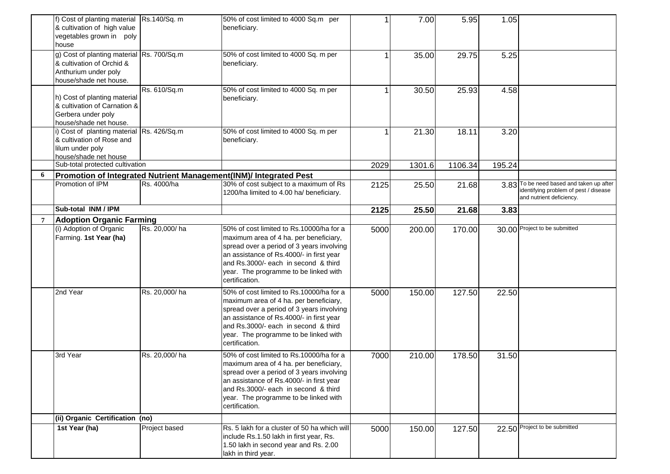|   | f) Cost of planting material   Rs.140/Sq. m<br>& cultivation of high value<br>vegetables grown in poly<br>house          |               | 50% of cost limited to 4000 Sq.m per<br>beneficiary.                                                                                                                                                                                                                           |      | 7.00   | 5.95    | 1.05   |                                                                                                               |
|---|--------------------------------------------------------------------------------------------------------------------------|---------------|--------------------------------------------------------------------------------------------------------------------------------------------------------------------------------------------------------------------------------------------------------------------------------|------|--------|---------|--------|---------------------------------------------------------------------------------------------------------------|
|   | g) Cost of planting material Rs. 700/Sq.m<br>& cultivation of Orchid &<br>Anthurium under poly<br>house/shade net house. |               | 50% of cost limited to 4000 Sq. m per<br>beneficiary.                                                                                                                                                                                                                          |      | 35.00  | 29.75   | 5.25   |                                                                                                               |
|   | h) Cost of planting material<br>& cultivation of Carnation &<br>Gerbera under poly<br>house/shade net house.             | Rs. 610/Sq.m  | 50% of cost limited to 4000 Sq. m per<br>beneficiary.                                                                                                                                                                                                                          |      | 30.50  | 25.93   | 4.58   |                                                                                                               |
|   | i) Cost of planting material Rs. 426/Sq.m<br>& cultivation of Rose and<br>lilum under poly<br>house/shade net house      |               | 50% of cost limited to 4000 Sq. m per<br>beneficiary.                                                                                                                                                                                                                          |      | 21.30  | 18.11   | 3.20   |                                                                                                               |
|   | Sub-total protected cultivation                                                                                          |               |                                                                                                                                                                                                                                                                                | 2029 | 1301.6 | 1106.34 | 195.24 |                                                                                                               |
| 6 |                                                                                                                          |               | Promotion of Integrated Nutrient Management(INM)/ Integrated Pest                                                                                                                                                                                                              |      |        |         |        |                                                                                                               |
|   | Promotion of IPM                                                                                                         | Rs. 4000/ha   | 30% of cost subject to a maximum of Rs<br>1200/ha limited to 4.00 ha/ beneficiary.                                                                                                                                                                                             | 2125 | 25.50  | 21.68   |        | 3.83 To be need based and taken up after<br>identifying problem of pest / disease<br>and nutrient deficiency. |
|   | Sub-total INM / IPM                                                                                                      |               |                                                                                                                                                                                                                                                                                | 2125 | 25.50  | 21.68   | 3.83   |                                                                                                               |
|   | <b>Adoption Organic Farming</b>                                                                                          |               |                                                                                                                                                                                                                                                                                |      |        |         |        |                                                                                                               |
|   | (i) Adoption of Organic<br>Farming. 1st Year (ha)                                                                        | Rs. 20,000/ha | 50% of cost limited to Rs.10000/ha for a<br>maximum area of 4 ha. per beneficiary,<br>spread over a period of 3 years involving<br>an assistance of Rs.4000/- in first year<br>and Rs.3000/- each in second & third<br>year. The programme to be linked with<br>certification. | 5000 | 200.00 | 170.00  |        | 30.00 Project to be submitted                                                                                 |
|   | 2nd Year                                                                                                                 | Rs. 20,000/ha | 50% of cost limited to Rs.10000/ha for a<br>maximum area of 4 ha. per beneficiary,<br>spread over a period of 3 years involving<br>an assistance of Rs.4000/- in first year<br>and Rs.3000/- each in second & third<br>year. The programme to be linked with<br>certification. | 5000 | 150.00 | 127.50  | 22.50  |                                                                                                               |
|   | 3rd Year                                                                                                                 | Rs. 20,000/ha | 50% of cost limited to Rs.10000/ha for a<br>maximum area of 4 ha. per beneficiary,<br>spread over a period of 3 years involving<br>an assistance of Rs.4000/- in first year<br>and Rs.3000/- each in second & third<br>year. The programme to be linked with<br>certification. | 7000 | 210.00 | 178.50  | 31.50  |                                                                                                               |
|   | (ii) Organic Certification (no)                                                                                          |               |                                                                                                                                                                                                                                                                                |      |        |         |        |                                                                                                               |
|   | 1st Year (ha)                                                                                                            | Project based | Rs. 5 lakh for a cluster of 50 ha which will<br>include Rs.1.50 lakh in first year, Rs.<br>1.50 lakh in second year and Rs. 2.00<br>lakh in third year.                                                                                                                        | 5000 | 150.00 | 127.50  |        | 22.50 Project to be submitted                                                                                 |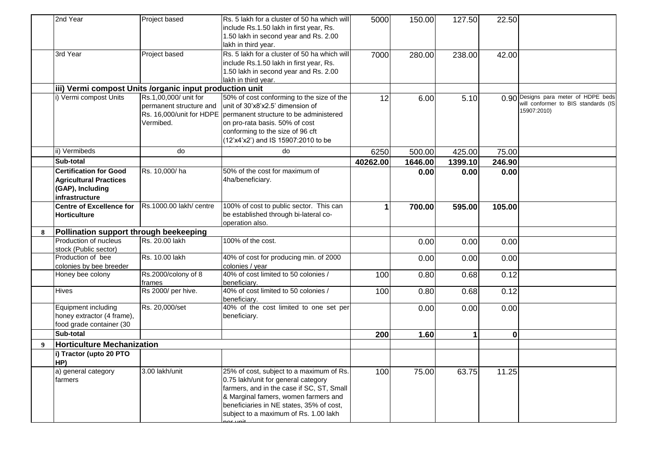|                  | 2nd Year                                                                                             | Project based                                                                             | Rs. 5 lakh for a cluster of 50 ha which will<br>include Rs.1.50 lakh in first year, Rs.<br>1.50 lakh in second year and Rs. 2.00<br>lakh in third year.                                                                                                   | 5000     | 150.00  | 127.50       | 22.50    |                                                                                            |
|------------------|------------------------------------------------------------------------------------------------------|-------------------------------------------------------------------------------------------|-----------------------------------------------------------------------------------------------------------------------------------------------------------------------------------------------------------------------------------------------------------|----------|---------|--------------|----------|--------------------------------------------------------------------------------------------|
|                  | 3rd Year                                                                                             | Project based                                                                             | Rs. 5 lakh for a cluster of 50 ha which will<br>include Rs.1.50 lakh in first year, Rs.<br>1.50 lakh in second year and Rs. 2.00<br>lakh in third year.                                                                                                   | 7000     | 280.00  | 238.00       | 42.00    |                                                                                            |
|                  | iii) Vermi compost Units /organic input production unit                                              |                                                                                           |                                                                                                                                                                                                                                                           |          |         |              |          |                                                                                            |
|                  | i) Vermi compost Units                                                                               | Rs.1,00,000/ unit for<br>permanent structure and<br>Rs. 16,000/unit for HDPE<br>Vermibed. | 50% of cost conforming to the size of the<br>unit of 30'x8'x2.5' dimension of<br>permanent structure to be administered<br>on pro-rata basis. 50% of cost<br>conforming to the size of 96 cft<br>(12'x4'x2') and IS 15907:2010 to be                      | 12       | 6.00    | 5.10         |          | 0.90 Designs para meter of HDPE beds<br>will conformer to BIS standards (IS<br>15907:2010) |
|                  | ii) Vermibeds                                                                                        | do                                                                                        | do                                                                                                                                                                                                                                                        | 6250     | 500.00  | 425.00       | 75.00    |                                                                                            |
|                  | Sub-total                                                                                            |                                                                                           |                                                                                                                                                                                                                                                           | 40262.00 | 1646.00 | 1399.10      | 246.90   |                                                                                            |
|                  | <b>Certification for Good</b><br><b>Agricultural Practices</b><br>(GAP), Including<br>infrastructure | Rs. 10,000/ha                                                                             | 50% of the cost for maximum of<br>4ha/beneficiary.                                                                                                                                                                                                        |          | 0.00    | 0.00         | 0.00     |                                                                                            |
|                  | <b>Centre of Excellence for</b><br>Horticulture                                                      | Rs.1000.00 lakh/ centre                                                                   | 100% of cost to public sector. This can<br>be established through bi-lateral co-<br>operation also.                                                                                                                                                       | 1        | 700.00  | 595.00       | 105.00   |                                                                                            |
| 8                | Pollination support through beekeeping                                                               |                                                                                           |                                                                                                                                                                                                                                                           |          |         |              |          |                                                                                            |
|                  | Production of nucleus<br>stock (Public sector)                                                       | Rs. 20.00 lakh                                                                            | 100% of the cost.                                                                                                                                                                                                                                         |          | 0.00    | 0.00         | 0.00     |                                                                                            |
|                  | Production of bee<br>colonies by bee breeder                                                         | Rs. 10.00 lakh                                                                            | 40% of cost for producing min. of 2000<br>colonies / year                                                                                                                                                                                                 |          | 0.00    | 0.00         | 0.00     |                                                                                            |
|                  | Honey bee colony                                                                                     | Rs.2000/colony of 8<br>frames                                                             | 40% of cost limited to 50 colonies /<br>beneficiary.                                                                                                                                                                                                      | 100      | 0.80    | 0.68         | 0.12     |                                                                                            |
|                  | Hives                                                                                                | Rs 2000/ per hive.                                                                        | 40% of cost limited to 50 colonies /<br>beneficiary.                                                                                                                                                                                                      | 100      | 0.80    | 0.68         | 0.12     |                                                                                            |
|                  | Equipment including<br>honey extractor (4 frame),<br>food grade container (30                        | Rs. 20,000/set                                                                            | 40% of the cost limited to one set per<br>beneficiary.                                                                                                                                                                                                    |          | 0.00    | 0.00         | 0.00     |                                                                                            |
|                  | Sub-total                                                                                            |                                                                                           |                                                                                                                                                                                                                                                           | 200      | 1.60    | $\mathbf{1}$ | $\bf{0}$ |                                                                                            |
| $\boldsymbol{Q}$ | <b>Horticulture Mechanization</b>                                                                    |                                                                                           |                                                                                                                                                                                                                                                           |          |         |              |          |                                                                                            |
|                  | i) Tractor (upto 20 PTO<br>HP)                                                                       |                                                                                           |                                                                                                                                                                                                                                                           |          |         |              |          |                                                                                            |
|                  | a) general category<br>farmers                                                                       | 3.00 lakh/unit                                                                            | 25% of cost, subject to a maximum of Rs.<br>0.75 lakh/unit for general category<br>farmers, and in the case if SC, ST, Small<br>& Marginal famers, women farmers and<br>beneficiaries in NE states, 35% of cost,<br>subject to a maximum of Rs. 1.00 lakh | 100      | 75.00   | 63.75        | 11.25    |                                                                                            |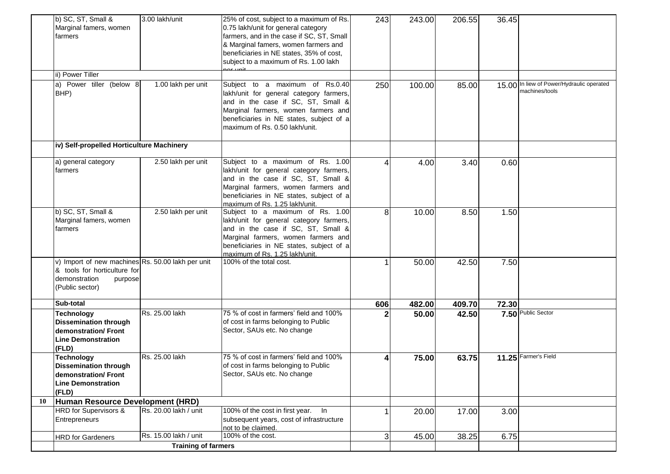|    | b) SC, ST, Small &                                  | 3.00 lakh/unit             | 25% of cost, subject to a maximum of Rs.                            | 243 | 243.00 | 206.55 | 36.45 |                                     |
|----|-----------------------------------------------------|----------------------------|---------------------------------------------------------------------|-----|--------|--------|-------|-------------------------------------|
|    | Marginal famers, women                              |                            | 0.75 lakh/unit for general category                                 |     |        |        |       |                                     |
|    | farmers                                             |                            | farmers, and in the case if SC, ST, Small                           |     |        |        |       |                                     |
|    |                                                     |                            | & Marginal famers, women farmers and                                |     |        |        |       |                                     |
|    |                                                     |                            | beneficiaries in NE states, 35% of cost,                            |     |        |        |       |                                     |
|    |                                                     |                            | subject to a maximum of Rs. 1.00 lakh                               |     |        |        |       |                                     |
|    | ii) Power Tiller                                    |                            |                                                                     |     |        |        |       |                                     |
|    |                                                     |                            |                                                                     |     |        |        |       | In liew of Power/Hydraulic operated |
|    | a) Power tiller (below 8                            | 1.00 lakh per unit         | Subject to a maximum of Rs.0.40                                     | 250 | 100.00 | 85.00  | 15.00 | machines/tools                      |
|    | BHP)                                                |                            | lakh/unit for general category farmers,                             |     |        |        |       |                                     |
|    |                                                     |                            | and in the case if SC, ST, Small &                                  |     |        |        |       |                                     |
|    |                                                     |                            | Marginal farmers, women farmers and                                 |     |        |        |       |                                     |
|    |                                                     |                            | beneficiaries in NE states, subject of a                            |     |        |        |       |                                     |
|    |                                                     |                            | maximum of Rs. 0.50 lakh/unit.                                      |     |        |        |       |                                     |
|    | iv) Self-propelled Horticulture Machinery           |                            |                                                                     |     |        |        |       |                                     |
|    |                                                     |                            |                                                                     |     |        |        |       |                                     |
|    | a) general category                                 | 2.50 lakh per unit         | Subject to a maximum of Rs. 1.00                                    |     | 4.00   | 3.40   | 0.60  |                                     |
|    | farmers                                             |                            | lakh/unit for general category farmers,                             |     |        |        |       |                                     |
|    |                                                     |                            | and in the case if SC, ST, Small &                                  |     |        |        |       |                                     |
|    |                                                     |                            | Marginal farmers, women farmers and                                 |     |        |        |       |                                     |
|    |                                                     |                            | beneficiaries in NE states, subject of a                            |     |        |        |       |                                     |
|    |                                                     |                            | maximum of Rs. 1.25 lakh/unit.                                      |     |        |        |       |                                     |
|    | b) SC, ST, Small &                                  | 2.50 lakh per unit         | Subject to a maximum of Rs. 1.00                                    | 8   | 10.00  | 8.50   | 1.50  |                                     |
|    | Marginal famers, women                              |                            | lakh/unit for general category farmers,                             |     |        |        |       |                                     |
|    | farmers                                             |                            | and in the case if SC, ST, Small &                                  |     |        |        |       |                                     |
|    |                                                     |                            | Marginal farmers, women farmers and                                 |     |        |        |       |                                     |
|    |                                                     |                            | beneficiaries in NE states, subject of a                            |     |        |        |       |                                     |
|    | v) Import of new machines Rs. 50.00 lakh per unit   |                            | maximum of Rs. 1.25 lakh/unit.<br>100% of the total cost.           |     | 50.00  | 42.50  | 7.50  |                                     |
|    | & tools for horticulture for                        |                            |                                                                     |     |        |        |       |                                     |
|    | demonstration<br>purpose                            |                            |                                                                     |     |        |        |       |                                     |
|    | (Public sector)                                     |                            |                                                                     |     |        |        |       |                                     |
|    |                                                     |                            |                                                                     |     |        |        |       |                                     |
|    | Sub-total                                           |                            |                                                                     | 606 | 482.00 | 409.70 | 72.30 | 7.50 Public Sector                  |
|    | <b>Technology</b>                                   | Rs. 25.00 lakh             | 75 % of cost in farmers' field and 100%                             |     | 50.00  | 42.50  |       |                                     |
|    | <b>Dissemination through</b><br>demonstration/Front |                            | of cost in farms belonging to Public<br>Sector, SAUs etc. No change |     |        |        |       |                                     |
|    |                                                     |                            |                                                                     |     |        |        |       |                                     |
|    | <b>Line Demonstration</b>                           |                            |                                                                     |     |        |        |       |                                     |
|    | (FLD)                                               |                            |                                                                     |     |        |        |       |                                     |
|    | <b>Technology</b>                                   | Rs. 25.00 lakh             | 75 % of cost in farmers' field and 100%                             |     | 75.00  | 63.75  |       | 11.25 Farmer's Field                |
|    | <b>Dissemination through</b>                        |                            | of cost in farms belonging to Public                                |     |        |        |       |                                     |
|    | demonstration/ Front<br><b>Line Demonstration</b>   |                            | Sector, SAUs etc. No change                                         |     |        |        |       |                                     |
|    | (FLD)                                               |                            |                                                                     |     |        |        |       |                                     |
| 10 | Human Resource Development (HRD)                    |                            |                                                                     |     |        |        |       |                                     |
|    | HRD for Supervisors &                               | Rs. 20.00 lakh / unit      | 100% of the cost in first year. In                                  |     | 20.00  | 17.00  | 3.00  |                                     |
|    | Entrepreneurs                                       |                            | subsequent years, cost of infrastructure                            |     |        |        |       |                                     |
|    |                                                     |                            | not to be claimed.                                                  |     |        |        |       |                                     |
|    | <b>HRD</b> for Gardeners                            | Rs. 15.00 lakh / unit      | 100% of the cost.                                                   | 3   | 45.00  | 38.25  | 6.75  |                                     |
|    |                                                     | <b>Training of farmers</b> |                                                                     |     |        |        |       |                                     |
|    |                                                     |                            |                                                                     |     |        |        |       |                                     |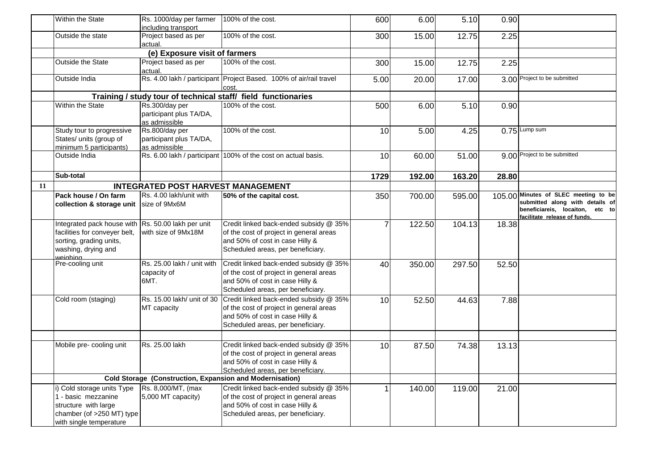|    | Within the State                                                                                                                                  | Rs. 1000/day per farmer                                    | 100% of the cost.                                                                                                                                         | 600  | 6.00   | 5.10   | 0.90  |                                                                                                    |
|----|---------------------------------------------------------------------------------------------------------------------------------------------------|------------------------------------------------------------|-----------------------------------------------------------------------------------------------------------------------------------------------------------|------|--------|--------|-------|----------------------------------------------------------------------------------------------------|
|    |                                                                                                                                                   | including transport                                        |                                                                                                                                                           |      |        |        |       |                                                                                                    |
|    | Outside the state                                                                                                                                 | Project based as per<br>actual.                            | 100% of the cost.                                                                                                                                         | 300  | 15.00  | 12.75  | 2.25  |                                                                                                    |
|    | (e) Exposure visit of farmers                                                                                                                     |                                                            |                                                                                                                                                           |      |        |        |       |                                                                                                    |
|    | <b>Outside the State</b>                                                                                                                          | Project based as per<br>actual.                            | 100% of the cost.                                                                                                                                         | 300  | 15.00  | 12.75  | 2.25  |                                                                                                    |
|    | Outside India                                                                                                                                     |                                                            | Rs. 4.00 lakh / participant Project Based. 100% of air/rail travel<br>cost.                                                                               | 5.00 | 20.00  | 17.00  |       | 3.00 Project to be submitted                                                                       |
|    |                                                                                                                                                   |                                                            | Training / study tour of technical staff/ field functionaries                                                                                             |      |        |        |       |                                                                                                    |
|    | Within the State                                                                                                                                  | Rs.300/day per<br>participant plus TA/DA,<br>as admissible | 100% of the cost.                                                                                                                                         | 500  | 6.00   | 5.10   | 0.90  |                                                                                                    |
|    | Study tour to progressive<br>States/ units (group of<br>minimum 5 participants)                                                                   | Rs.800/day per<br>participant plus TA/DA,<br>as admissible | 100% of the cost.                                                                                                                                         | 10   | 5.00   | 4.25   |       | $0.75$ Lump sum                                                                                    |
|    | Outside India                                                                                                                                     | Rs. 6.00 lakh / participant                                | 100% of the cost on actual basis.                                                                                                                         | 10   | 60.00  | 51.00  |       | 9.00 Project to be submitted                                                                       |
|    | Sub-total                                                                                                                                         |                                                            |                                                                                                                                                           | 1729 | 192.00 | 163.20 | 28.80 |                                                                                                    |
| 11 |                                                                                                                                                   | <b>INTEGRATED POST HARVEST MANAGEMENT</b>                  |                                                                                                                                                           |      |        |        |       |                                                                                                    |
|    | Pack house / On farm                                                                                                                              | Rs. 4.00 lakh/unit with                                    | 50% of the capital cost.                                                                                                                                  | 350  | 700.00 | 595.00 |       | 105.00 Minutes of SLEC meeting to be                                                               |
|    | collection & storage unit                                                                                                                         | size of 9Mx6M                                              |                                                                                                                                                           |      |        |        |       | submitted along with details of<br>beneficiareis, locaiton, etc to<br>facilitate release of funds. |
|    | Integrated pack house with Rs. 50.00 lakh per unit<br>facilities for conveyer belt,<br>sorting, grading units,<br>washing, drying and<br>weiahina | with size of 9Mx18M                                        | Credit linked back-ended subsidy @ 35%<br>of the cost of project in general areas<br>and 50% of cost in case Hilly &<br>Scheduled areas, per beneficiary. |      | 122.50 | 104.13 | 18.38 |                                                                                                    |
|    | Pre-cooling unit                                                                                                                                  | Rs. 25.00 lakh / unit with<br>capacity of<br>6MT.          | Credit linked back-ended subsidy @ 35%<br>of the cost of project in general areas<br>and 50% of cost in case Hilly &<br>Scheduled areas, per beneficiary. | 40   | 350.00 | 297.50 | 52.50 |                                                                                                    |
|    | Cold room (staging)                                                                                                                               | Rs. 15.00 lakh/ unit of 30<br>MT capacity                  | Credit linked back-ended subsidy @ 35%<br>of the cost of project in general areas<br>and 50% of cost in case Hilly &<br>Scheduled areas, per beneficiary. | 10   | 52.50  | 44.63  | 7.88  |                                                                                                    |
|    | Mobile pre- cooling unit                                                                                                                          | Rs. 25.00 lakh                                             | Credit linked back-ended subsidy @ 35%<br>of the cost of project in general areas<br>and 50% of cost in case Hilly &<br>Scheduled areas, per beneficiary. | 10   | 87.50  | 74.38  | 13.13 |                                                                                                    |
|    | Cold Storage (Construction, Expansion and Modernisation)                                                                                          |                                                            |                                                                                                                                                           |      |        |        |       |                                                                                                    |
|    | i) Cold storage units Type                                                                                                                        | Rs. 8,000/MT, (max                                         | Credit linked back-ended subsidy @ 35%                                                                                                                    |      | 140.00 | 119.00 | 21.00 |                                                                                                    |
|    | 1 - basic mezzanine<br>structure with large                                                                                                       | 5,000 MT capacity)                                         | of the cost of project in general areas<br>and 50% of cost in case Hilly &                                                                                |      |        |        |       |                                                                                                    |
|    | chamber (of >250 MT) type<br>with single temperature                                                                                              |                                                            | Scheduled areas, per beneficiary.                                                                                                                         |      |        |        |       |                                                                                                    |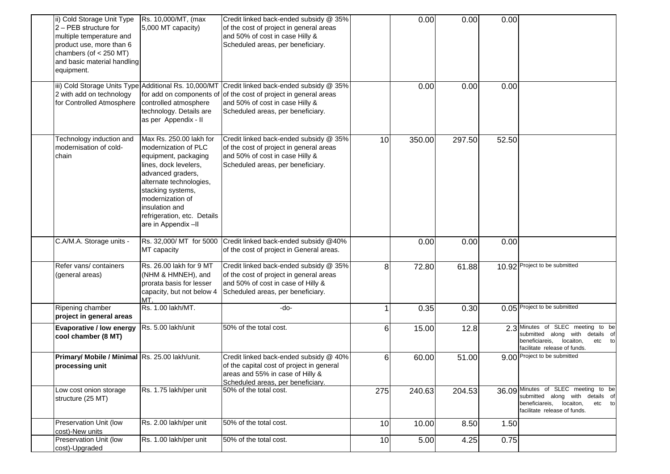| ii) Cold Storage Unit Type                     | Rs. 10,000/MT, (max         | Credit linked back-ended subsidy @ 35%                                                       |     | 0.00   | 0.00   | 0.00  |                                                                      |
|------------------------------------------------|-----------------------------|----------------------------------------------------------------------------------------------|-----|--------|--------|-------|----------------------------------------------------------------------|
| 2 - PEB structure for                          | 5,000 MT capacity)          | of the cost of project in general areas                                                      |     |        |        |       |                                                                      |
| multiple temperature and                       |                             | and 50% of cost in case Hilly &                                                              |     |        |        |       |                                                                      |
| product use, more than 6                       |                             | Scheduled areas, per beneficiary.                                                            |     |        |        |       |                                                                      |
|                                                |                             |                                                                                              |     |        |        |       |                                                                      |
| chambers (of $<$ 250 MT)                       |                             |                                                                                              |     |        |        |       |                                                                      |
| and basic material handling                    |                             |                                                                                              |     |        |        |       |                                                                      |
| equipment.                                     |                             |                                                                                              |     |        |        |       |                                                                      |
|                                                |                             | iii) Cold Storage Units Type Additional Rs. 10,000/MT Credit linked back-ended subsidy @ 35% |     |        |        |       |                                                                      |
|                                                |                             |                                                                                              |     | 0.00   | 0.00   | 0.00  |                                                                      |
| 2 with add on technology                       |                             | for add on components of of the cost of project in general areas                             |     |        |        |       |                                                                      |
| for Controlled Atmosphere                      | controlled atmosphere       | and 50% of cost in case Hilly &                                                              |     |        |        |       |                                                                      |
|                                                | technology. Details are     | Scheduled areas, per beneficiary.                                                            |     |        |        |       |                                                                      |
|                                                | as per Appendix - II        |                                                                                              |     |        |        |       |                                                                      |
|                                                |                             |                                                                                              |     |        |        |       |                                                                      |
| Technology induction and                       | Max Rs. 250.00 lakh for     | Credit linked back-ended subsidy @ 35%                                                       | 10  | 350.00 | 297.50 | 52.50 |                                                                      |
| modernisation of cold-                         | modernization of PLC        | of the cost of project in general areas                                                      |     |        |        |       |                                                                      |
| chain                                          | equipment, packaging        | and 50% of cost in case Hilly &                                                              |     |        |        |       |                                                                      |
|                                                | lines, dock levelers,       | Scheduled areas, per beneficiary.                                                            |     |        |        |       |                                                                      |
|                                                | advanced graders,           |                                                                                              |     |        |        |       |                                                                      |
|                                                | alternate technologies,     |                                                                                              |     |        |        |       |                                                                      |
|                                                | stacking systems,           |                                                                                              |     |        |        |       |                                                                      |
|                                                | modernization of            |                                                                                              |     |        |        |       |                                                                      |
|                                                | insulation and              |                                                                                              |     |        |        |       |                                                                      |
|                                                | refrigeration, etc. Details |                                                                                              |     |        |        |       |                                                                      |
|                                                |                             |                                                                                              |     |        |        |       |                                                                      |
|                                                | are in Appendix-II          |                                                                                              |     |        |        |       |                                                                      |
| C.A/M.A. Storage units -                       |                             | Rs. 32,000/ MT for 5000 Credit linked back-ended subsidy @40%                                |     | 0.00   | 0.00   | 0.00  |                                                                      |
|                                                | MT capacity                 | of the cost of project in General areas.                                                     |     |        |        |       |                                                                      |
|                                                |                             |                                                                                              |     |        |        |       |                                                                      |
| Refer vans/ containers                         | Rs. 26.00 lakh for 9 MT     | Credit linked back-ended subsidy @ 35%                                                       | 8   | 72.80  | 61.88  |       | 10.92 Project to be submitted                                        |
| (general areas)                                | (NHM & HMNEH), and          | of the cost of project in general areas                                                      |     |        |        |       |                                                                      |
|                                                | prorata basis for lesser    | and 50% of cost in case of Hilly &                                                           |     |        |        |       |                                                                      |
|                                                | capacity, but not below 4   | Scheduled areas, per beneficiary.                                                            |     |        |        |       |                                                                      |
|                                                | MT.                         |                                                                                              |     |        |        |       |                                                                      |
| Ripening chamber                               | Rs. 1.00 lakh/MT.           | -do-                                                                                         |     | 0.35   | 0.30   |       | 0.05 Project to be submitted                                         |
| project in general areas                       |                             |                                                                                              |     |        |        |       |                                                                      |
|                                                |                             |                                                                                              |     |        |        |       |                                                                      |
| <b>Evaporative / low energy</b>                | Rs. 5.00 lakh/unit          | 50% of the total cost.                                                                       | 6   | 15.00  | 12.8   |       | 2.3 Minutes of SLEC meeting to be<br>submitted along with details of |
| cool chamber (8 MT)                            |                             |                                                                                              |     |        |        |       | beneficiareis, locaiton,<br>etc to                                   |
|                                                |                             |                                                                                              |     |        |        |       | facilitate release of funds.                                         |
| Primary/ Mobile / Minimal Rs. 25.00 lakh/unit. |                             | Credit linked back-ended subsidy @ 40%                                                       | 6   | 60.00  | 51.00  |       | 9.00 Project to be submitted                                         |
| processing unit                                |                             | of the capital cost of project in general                                                    |     |        |        |       |                                                                      |
|                                                |                             | areas and 55% in case of Hilly &                                                             |     |        |        |       |                                                                      |
|                                                |                             | Scheduled areas, per beneficiary.                                                            |     |        |        |       |                                                                      |
| Low cost onion storage                         | Rs. 1.75 lakh/per unit      | 50% of the total cost.                                                                       | 275 | 240.63 | 204.53 |       | 36.09 Minutes of SLEC meeting to be                                  |
| structure (25 MT)                              |                             |                                                                                              |     |        |        |       | submitted along with details of                                      |
|                                                |                             |                                                                                              |     |        |        |       | beneficiareis, locaiton,<br>etc to                                   |
|                                                |                             |                                                                                              |     |        |        |       | facilitate release of funds.                                         |
| Preservation Unit (low                         | Rs. 2.00 lakh/per unit      | 50% of the total cost.                                                                       | 10  | 10.00  | 8.50   | 1.50  |                                                                      |
| cost)-New units                                |                             |                                                                                              |     |        |        |       |                                                                      |
| Preservation Unit (low                         | Rs. 1.00 lakh/per unit      | 50% of the total cost.                                                                       | 10  | 5.00   | 4.25   | 0.75  |                                                                      |
| cost)-Upgraded                                 |                             |                                                                                              |     |        |        |       |                                                                      |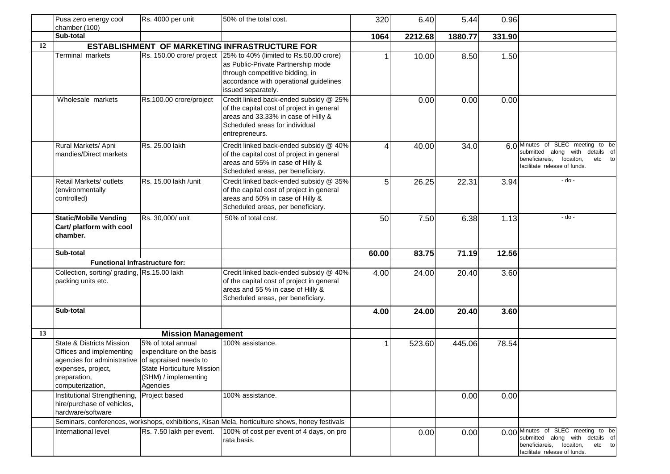|    | Pusa zero energy cool<br>chamber (100)                                                                                                                                          | Rs. 4000 per unit                                                                                                | 50% of the total cost.                                                                                                                                                                                    | 320            | 6.40    | 5.44    | 0.96   |                                                                                                                                               |
|----|---------------------------------------------------------------------------------------------------------------------------------------------------------------------------------|------------------------------------------------------------------------------------------------------------------|-----------------------------------------------------------------------------------------------------------------------------------------------------------------------------------------------------------|----------------|---------|---------|--------|-----------------------------------------------------------------------------------------------------------------------------------------------|
|    | Sub-total                                                                                                                                                                       |                                                                                                                  |                                                                                                                                                                                                           | 1064           | 2212.68 | 1880.77 | 331.90 |                                                                                                                                               |
| 12 |                                                                                                                                                                                 |                                                                                                                  | <b>ESTABLISHMENT OF MARKETING INFRASTRUCTURE FOR</b>                                                                                                                                                      |                |         |         |        |                                                                                                                                               |
|    | Terminal markets                                                                                                                                                                |                                                                                                                  | Rs. 150.00 crore/ project 25% to 40% (limited to Rs.50.00 crore)<br>as Public-Private Partnership mode<br>through competitive bidding, in<br>accordance with operational guidelines<br>issued separately. |                | 10.00   | 8.50    | 1.50   |                                                                                                                                               |
|    | Wholesale markets                                                                                                                                                               | Rs.100.00 crore/project                                                                                          | Credit linked back-ended subsidy @ 25%<br>of the capital cost of project in general<br>areas and 33.33% in case of Hilly &<br>Scheduled areas for individual<br>entrepreneurs.                            |                | 0.00    | 0.00    | 0.00   |                                                                                                                                               |
|    | Rural Markets/ Apni<br>mandies/Direct markets                                                                                                                                   | Rs. 25.00 lakh                                                                                                   | Credit linked back-ended subsidy @ 40%<br>of the capital cost of project in general<br>areas and 55% in case of Hilly &<br>Scheduled areas, per beneficiary.                                              | Δ              | 40.00   | 34.0    |        | 6.0 Minutes of SLEC meeting to be<br>submitted along with details of<br>beneficiareis,<br>locaiton,<br>etc to<br>facilitate release of funds. |
|    | <b>Retail Markets/ outlets</b><br>(environmentally<br>controlled)                                                                                                               | Rs. 15.00 lakh /unit                                                                                             | Credit linked back-ended subsidy @ 35%<br>of the capital cost of project in general<br>areas and 50% in case of Hilly &<br>Scheduled areas, per beneficiary.                                              | 5 <sub>1</sub> | 26.25   | 22.31   | 3.94   | - do -                                                                                                                                        |
|    | <b>Static/Mobile Vending</b><br>Cart/ platform with cool<br>chamber.                                                                                                            | Rs. 30,000/ unit                                                                                                 | 50% of total cost.                                                                                                                                                                                        | 50             | 7.50    | 6.38    | 1.13   | - do -                                                                                                                                        |
|    | Sub-total                                                                                                                                                                       |                                                                                                                  |                                                                                                                                                                                                           | 60.00          | 83.75   | 71.19   | 12.56  |                                                                                                                                               |
|    | <b>Functional Infrastructure for:</b>                                                                                                                                           |                                                                                                                  |                                                                                                                                                                                                           |                |         |         |        |                                                                                                                                               |
|    | Collection, sorting/ grading, Rs.15.00 lakh<br>packing units etc.                                                                                                               |                                                                                                                  | Credit linked back-ended subsidy @ 40%<br>of the capital cost of project in general<br>areas and 55 % in case of Hilly &<br>Scheduled areas, per beneficiary.                                             | 4.00           | 24.00   | 20.40   | 3.60   |                                                                                                                                               |
|    | Sub-total                                                                                                                                                                       |                                                                                                                  |                                                                                                                                                                                                           | 4.00           | 24.00   | 20.40   | 3.60   |                                                                                                                                               |
| 13 |                                                                                                                                                                                 | <b>Mission Management</b>                                                                                        |                                                                                                                                                                                                           |                |         |         |        |                                                                                                                                               |
|    | <b>State &amp; Districts Mission</b><br>Offices and implementing<br>agencies for administrative of appraised needs to<br>expenses, project,<br>preparation,<br>computerization, | 5% of total annual<br>expenditure on the basis<br>State Horticulture Mission<br>(SHM) / implementing<br>Agencies | 100% assistance.                                                                                                                                                                                          |                | 523.60  | 445.06  | 78.54  |                                                                                                                                               |
|    | Institutional Strengthening, Project based<br>hire/purchase of vehicles,<br>hardware/software                                                                                   |                                                                                                                  | 100% assistance.                                                                                                                                                                                          |                |         | 0.00    | 0.00   |                                                                                                                                               |
|    |                                                                                                                                                                                 |                                                                                                                  | Seminars, conferences, workshops, exhibitions, Kisan Mela, horticulture shows, honey festivals                                                                                                            |                |         |         |        |                                                                                                                                               |
|    | International level                                                                                                                                                             | Rs. 7.50 lakh per event.                                                                                         | 100% of cost per event of 4 days, on pro<br>rata basis.                                                                                                                                                   |                | 0.00    | 0.00    |        | 0.00 Minutes of SLEC meeting to be<br>submitted along with details of<br>beneficiareis, locaiton,<br>etc to<br>facilitate release of funds.   |